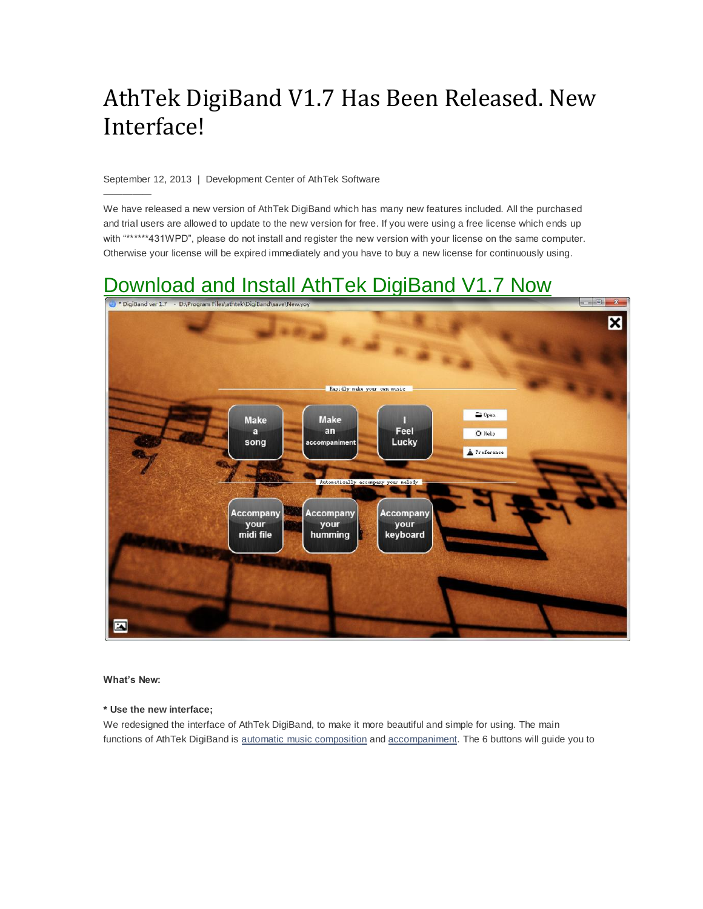# AthTek DigiBand V1.7 Has Been Released. New Interface!

September 12, 2013 | Development Center of AthTek Software

We have released a new version of AthTek DigiBand which has many new features included. All the purchased and trial users are allowed to update to the new version for free. If you were using a free license which ends up with "\*\*\*\*\*\*431WPD", please do not install and register the new version with your license on the same computer. Otherwise your license will be expired immediately and you have to buy a new license for continuously using.

# [Download and Install AthTek DigiBand V1.7 Now](http://www.athtek.com/download/digiband.exe)



#### **What's New:**

—————

# **\* Use the new interface;**

We redesigned the interface of AthTek DigiBand, to make it more beautiful and simple for using. The main functions of AthTek DigiBand is [automatic music composition](http://www.athtek.com/solution/compose4party.html) and [accompaniment.](http://www.athtek.com/solution/improviseaccompaniment2solo.html) The 6 buttons will guide you to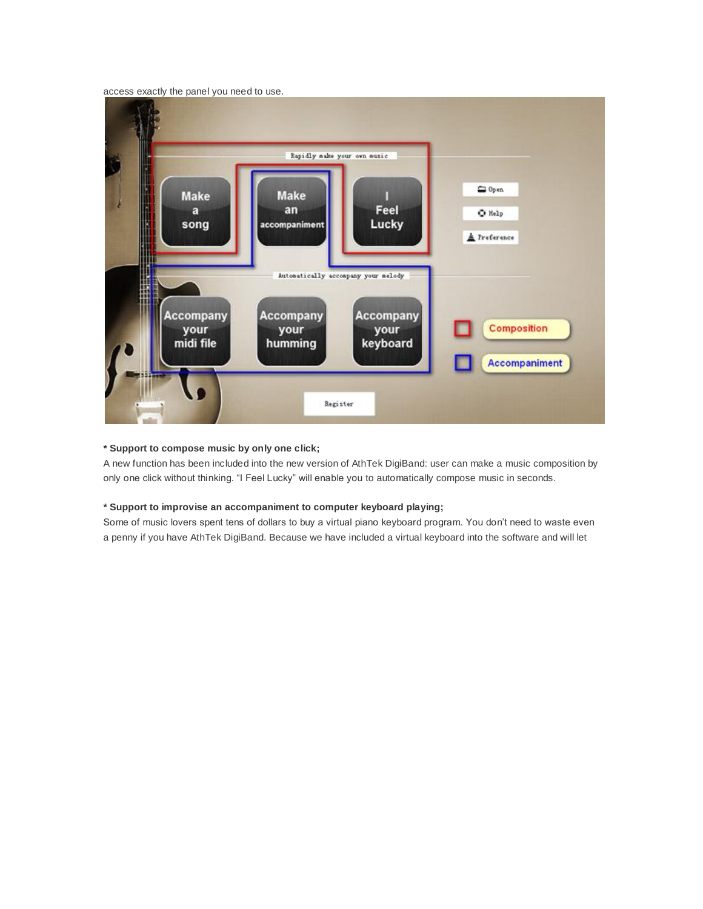access exactly the panel you need to use.



#### **\* Support to compose music by only one click;**

A new function has been included into the new version of AthTek DigiBand: user can make a music composition by only one click without thinking. "I Feel Lucky" will enable you to automatically compose music in seconds.

## **\* Support to improvise an accompaniment to computer keyboard playing;**

Some of music lovers spent tens of dollars to buy a virtual piano keyboard program. You don't need to waste even a penny if you have AthTek DigiBand. Because we have included a virtual keyboard into the software and will let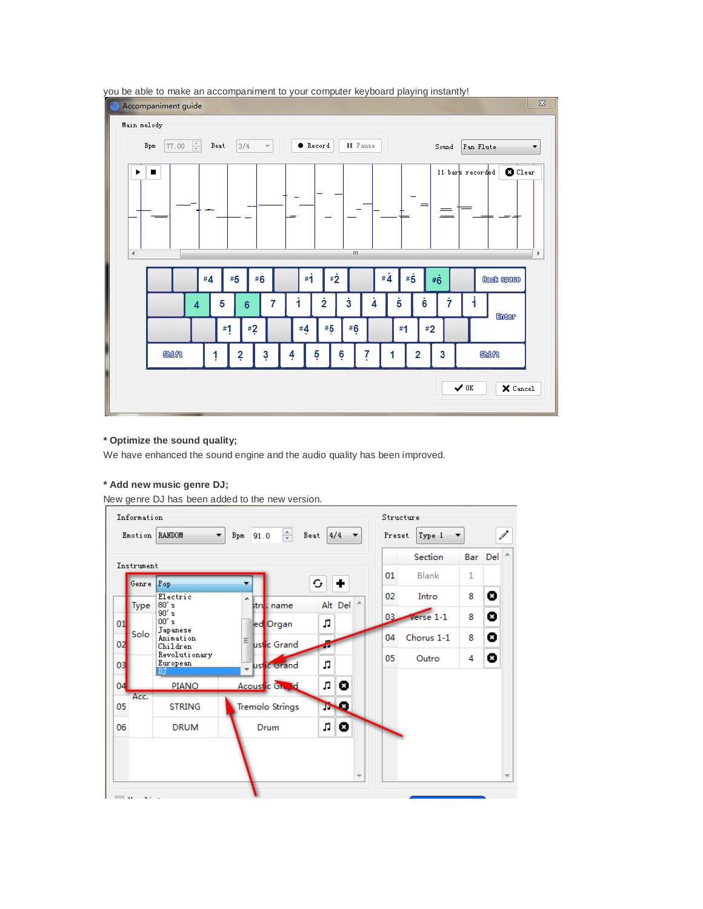

you be able to make an accompaniment to your computer keyboard playing instantly!

#### **\* Optimize the sound quality;**

We have enhanced the sound engine and the audio quality has been improved.

#### **\* Add new music genre DJ;**

New genre DJ has been added to the new version.

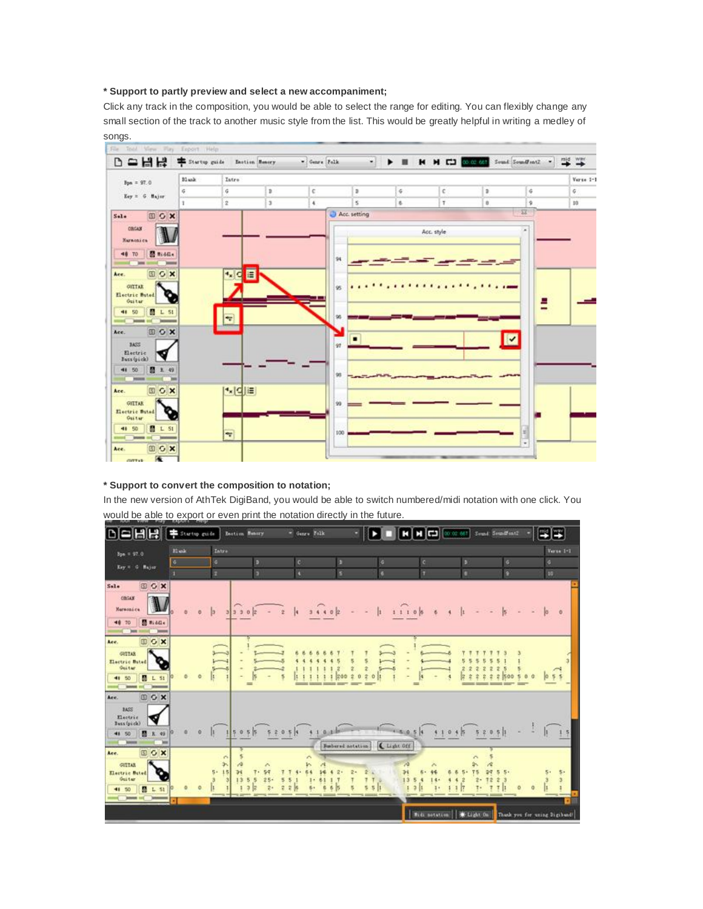#### **\* Support to partly preview and select a new accompaniment;**

Click any track in the composition, you would be able to select the range for editing. You can flexibly change any small section of the track to another music style from the list. This would be greatly helpful in writing a medley of songs.



# **\* Support to convert the composition to notation;**

In the new version of AthTek DigiBand, you would be able to switch numbered/midi notation with one click. You would be able to export or even print the notation directly in the future.